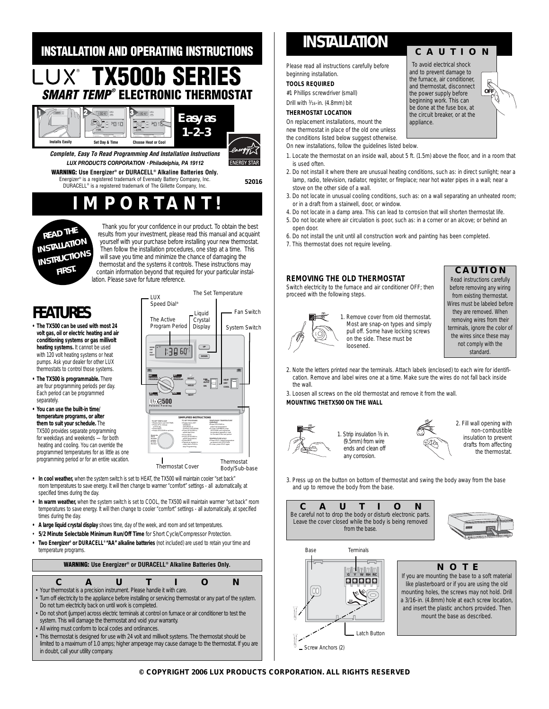#### **INSTALLATION AND OPERATING INSTRUCTIONS TX500b SERIES SMART TEMP® ELECTRONIC THERMOSTAT** MO **UP MORN**  $\equiv$  13060°  $\equiv$ **DAY** *Easy as* **SET WEEKDAY PROGRAMSET HEAT OFF COOL AUTO ON RESET FAN HOLD NEXT RUN SET SUNDAY PROGRAM**  $\bigotimes^{\bullet}$ *1–2–3* **DAY/TIME 500 Patents Pending 500 Patents Pending** *TEMPORARY TEMPERATURE* WEEKDAY P UP/DOWN t **Installs Easily Set Day & Time Choose Heat or Cool** *TEMPORARY TEMPERATURE* **Complete, Easy To Read Programming And Installation Instructions** *LUX PRODUCTS CORPORATION • Philadelphia, PA 19112* **ENERGY STAR WARNING: Use Energizer® or DURACELL® Alkaline Batteries Only.** Energizer® is a registered trademark of Eveready Battery Company, Inc. **52016** DURACELL® is a registered trademark of The Gillette Company, Inc. **MPORTA**



Thank you for your confidence in our product. To obtain the best results from your investment, please read this manual and acquaint yourself with your purchase before installing your new thermostat. Then follow the installation procedures, one step at a time. This will save you time and minimize the chance of damaging the thermostat and the systems it controls. These instructions may contain information beyond that required for your particular installation. Please save for future reference.

# **FEATURES**

- **The TX500 can be used with most 24 volt gas, oil or electric heating and air conditioning systems or gas millivolt heating systems.** It cannot be used with 120 volt heating systems or heat pumps. Ask your dealer for other LUX thermostats to control those systems.
- **The TX500 is programmable.** There are four programming periods per day. Each period can be programmed separately.
- **You can use the built-in time/ temperature programs, or alter them to suit your schedule.** The TX500 provides separate programming for weekdays and weekends — for both heating and cooling. You can override the programmed temperatures for as little as one programming period or for an entire vacation.



- **In cool weather,** when the system switch is set to HEAT, the TX500 will maintain cooler "set back" room temperatures to save energy. It will then change to warmer "comfort" settings - all automatically, at specified times during the day.
- **In warm weather,** when the system switch is set to COOL, the TX500 will maintain warmer "set back" room temperatures to save energy. It will then change to cooler "comfort" settings - all automatically, at specified times during the day.
- **A large liquid crystal display** shows time, day of the week, and room and set temperatures.
- **5/2 Minute Selectable Minimum Run/Off Time** for Short Cycle/Compressor Protection.
- **Two Energizer® or DURACELL® "AA" alkaline batteries** (not included) are used to retain your time and temperature programs.



# **INSTALLATION**

Please read all instructions carefully before beginning installation.

### **TOOLS REQUIRED**

#1 Phillips screwdriver (small)

## Drill with 3⁄16-in. (4.8mm) bit

**THERMOSTAT LOCATION** On replacement installations, mount the

new thermostat in place of the old one unless

the conditions listed below suggest otherwise.

On new installations, follow the guidelines listed below.

1. Locate the thermostat on an inside wall, about 5 ft. (1.5m) above the floor, and in a room that is used often.

*appliance.*

**CAUTION** *To avoid electrical shock and to prevent damage to the furnace, air conditioner, and thermostat, disconnect the power supply before beginning work. This can be done at the fuse box, at the circuit breaker, or at the*

- 2. Do not install it where there are unusual heating conditions, such as: in direct sunlight; near a lamp, radio, television, radiator, register, or fireplace; near hot water pipes in a wall; near a stove on the other side of a wall.
- 3. Do not locate in unusual cooling conditions, such as: on a wall separating an unheated room; or in a draft from a stairwell, door, or window.
- 4. Do not locate in a damp area. This can lead to corrosion that will shorten thermostat life.
- 5. Do not locate where air circulation is poor, such as: in a corner or an alcove; or behind an open door.
- 6. Do not install the unit until all construction work and painting has been completed.
- 7. This thermostat does not require leveling.

### **REMOVING THE OLD THERMOSTAT**

Switch electricity to the furnace and air conditioner OFF; then proceed with the following steps.



1. Remove cover from old thermostat. Most are snap-on types and simply pull off. Some have locking screws on the side. These must be loosened.

### **CAUTION**

**OFF** 

F

*Read instructions carefully before removing any wiring from existing thermostat. Wires must be labeled before they are removed. When removing wires from their terminals, ignore the color of the wires since these may not comply with the standard.* 

2. Note the letters printed near the terminals. Attach labels (enclosed) to each wire for identification. Remove and label wires one at a time. Make sure the wires do not fall back inside the wall.

3. Loosen all screws on the old thermostat and remove it from the wall. **MOUNTING THETX500 ON THE WALL**



1. Strip insulation  $\frac{3}{8}$  in. (9.5mm) from wire ends and clean off any corrosion.



2. Fill wall opening with non-combustible insulation to prevent drafts from affecting the thermostat.

3. Press up on the button on bottom of thermostat and swing the body away from the base and up to remove the body from the base.







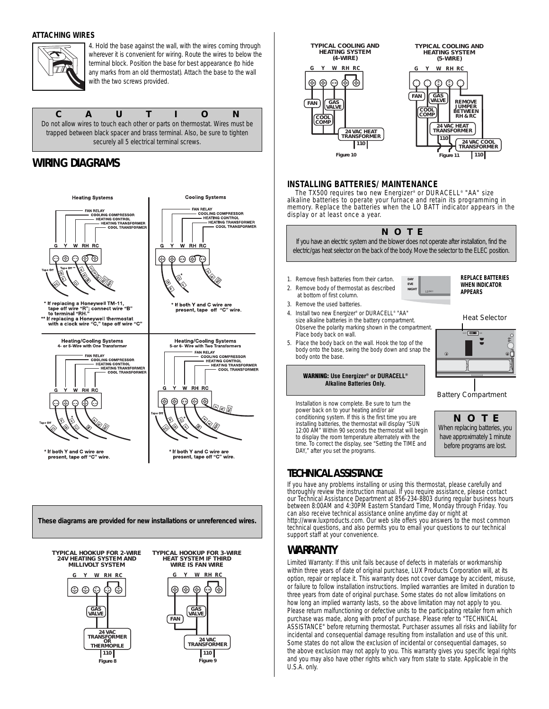### **ATTACHING WIRES**



4. Hold the base against the wall, with the wires coming through wherever it is convenient for wiring. Route the wires to below the terminal block. Position the base for best appearance (to hide any marks from an old thermostat). Attach the base to the wall with the two screws provided.

**CAUTION** *Do not allow wires to touch each other or parts on thermostat. Wires must be trapped between black spacer and brass terminal. Also, be sure to tighten securely all 5 electrical terminal screws.*

## **WIRING DIAGRAMS**





**Figure 9**

**Figure 8**

*110*



### **INSTALLING BATTERIES/ MAINTENANCE**

The TX500 requires two new Energizer® or DURACELL® "AA" size alkaline batteries to operate your furnace and retain its programming in memory. Replace the batteries when the LO BATT indicator appears in the display or at least once a year.



### **TECHNICAL ASSISTANCE**

If you have any problems installing or using this thermostat, please carefully and thoroughly review the instruction manual. If you require assistance, please contact our Technical Assistance Department at 856-234-8803 during regular business hours between 8:00AM and 4:30PM Eastern Standard Time, Monday through Friday. You can also receive technical assistance online anytime day or night at http://www.luxproducts.com. Our web site offers you answers to the most common technical questions, and also permits you to email your questions to our technical support staff at your convenience.

## **WARRANTY**

Limited Warranty: If this unit fails because of defects in materials or workmanship within three years of date of original purchase, LUX Products Corporation will, at its option, repair or replace it. This warranty does not cover damage by accident, misuse, or failure to follow installation instructions. Implied warranties are limited in duration to three years from date of original purchase. Some states do not allow limitations on how long an implied warranty lasts, so the above limitation may not apply to you. Please return malfunctioning or defective units to the participating retailer from which purchase was made, along with proof of purchase. Please refer to "TECHNICAL ASSISTANCE" before returning thermostat. Purchaser assumes all risks and liability for incidental and consequential damage resulting from installation and use of this unit. Some states do not allow the exclusion of incidental or consequential damages, so the above exclusion may not apply to you. This warranty gives you specific legal rights and you may also have other rights which vary from state to state. Applicable in the U.S.A. only.